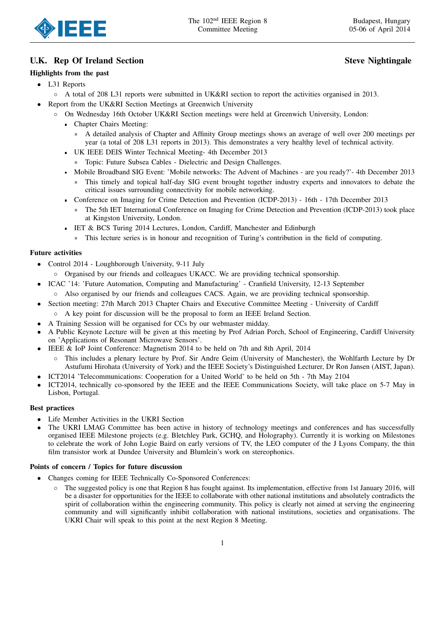

# U.K. Rep Of Ireland Section Steve Nightingale

## Highlights from the past

- L31 Reports
	- A total of 208 L31 reports were submitted in UK&RI section to report the activities organised in 2013.
- Report from the UK&RI Section Meetings at Greenwich University
	- On Wednesday 16th October UK&RI Section meetings were held at Greenwich University, London:
		- Chapter Chairs Meeting:
			- A detailed analysis of Chapter and Affinity Group meetings shows an average of well over 200 meetings per year (a total of 208 L31 reports in 2013). This demonstrates a very healthy level of technical activity.
		- UK IEEE DEIS Winter Technical Meeting- 4th December 2013
			- ∗ Topic: Future Subsea Cables Dielectric and Design Challenges.
		- Mobile Broadband SIG Event: 'Mobile networks: The Advent of Machines are you ready?'- 4th December 2013
			- This timely and topical half-day SIG event brought together industry experts and innovators to debate the critical issues surrounding connectivity for mobile networking.
		- Conference on Imaging for Crime Detection and Prevention (ICDP-2013) 16th 17th December 2013
			- The 5th IET International Conference on Imaging for Crime Detection and Prevention (ICDP-2013) took place at Kingston University, London.
		- IET & BCS Turing 2014 Lectures, London, Cardiff, Manchester and Edinburgh
			- ∗ This lecture series is in honour and recognition of Turing's contribution in the field of computing.

### Future activities

- Control 2014 Loughborough University, 9-11 July
	- Organised by our friends and colleagues UKACC. We are providing technical sponsorship.
- ICAC '14: 'Future Automation, Computing and Manufacturing' Cranfield University, 12-13 September ◦ Also organised by our friends and colleagues CACS. Again, we are providing technical sponsorship.
- Section meeting: 27th March 2013 Chapter Chairs and Executive Committee Meeting University of Cardiff
	- A key point for discussion will be the proposal to form an IEEE Ireland Section.
- A Training Session will be organised for CCs by our webmaster midday.
- A Public Keynote Lecture will be given at this meeting by Prof Adrian Porch, School of Engineering, Cardiff University on 'Applications of Resonant Microwave Sensors'.
- IEEE & IoP Joint Conference: Magnetism 2014 to be held on 7th and 8th April, 2014
	- This includes a plenary lecture by Prof. Sir Andre Geim (University of Manchester), the Wohlfarth Lecture by Dr Astufumi Hirohata (University of York) and the IEEE Society's Distinguished Lecturer, Dr Ron Jansen (AIST, Japan).
- ICT2014 'Telecommunications: Cooperation for a United World' to be held on 5th 7th May 2104
- ICT2014, technically co-sponsored by the IEEE and the IEEE Communications Society, will take place on 5-7 May in Lisbon, Portugal.

### Best practices

- Life Member Activities in the UKRI Section
- The UKRI LMAG Committee has been active in history of technology meetings and conferences and has successfully organised IEEE Milestone projects (e.g. Bletchley Park, GCHQ, and Holography). Currently it is working on Milestones to celebrate the work of John Logie Baird on early versions of TV, the LEO computer of the J Lyons Company, the thin film transistor work at Dundee University and Blumlein's work on stereophonics.

### Points of concern / Topics for future discussion

- Changes coming for IEEE Technically Co-Sponsored Conferences:
	- The suggested policy is one that Region 8 has fought against. Its implementation, effective from 1st January 2016, will be a disaster for opportunities for the IEEE to collaborate with other national institutions and absolutely contradicts the spirit of collaboration within the engineering community. This policy is clearly not aimed at serving the engineering community and will significantly inhibit collaboration with national institutions, societies and organisations. The UKRI Chair will speak to this point at the next Region 8 Meeting.